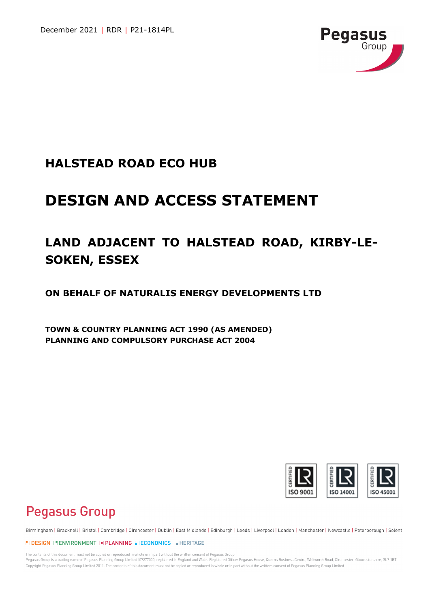

# **HALSTEAD ROAD ECO HUB**

# **DESIGN AND ACCESS STATEMENT**

# **LAND ADJACENT TO HALSTEAD ROAD, KIRBY-LE-SOKEN, ESSEX**

**ON BEHALF OF NATURALIS ENERGY DEVELOPMENTS LTD**

**TOWN & COUNTRY PLANNING ACT 1990 (AS AMENDED) PLANNING AND COMPULSORY PURCHASE ACT 2004**



# **Pegasus Group**

Birmingham | Bracknell | Bristol | Cambridge | Cirencester | Dublin | East Midlands | Edinburgh | Leeds | Liverpool | London | Manchester | Newcastle | Peterborough | Solent

#### LOESIGN LOENVIRONMENT EPLANNING ECONOMICS ENERITAGE

The contents of this document must not be copied or reproduced in whole or in part without the written consent of Pegasus Group. Pegasus Group is a trading name of Pegasus Planning Group Limited (07277000) registered in England and Wales Registered Office: Pegasus House, Querns Business Centre, Whitworth Road, Cirencester, Gloucestershire, GL7 1RT Copyright Pegasus Planning Group Limited 2011. The contents of this document must not be copied or reproduced in whole or in part without the writtem consent of Pegasus Planning Group Limited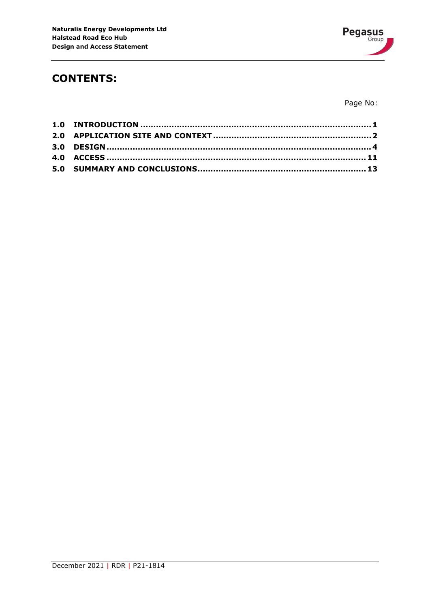

# **CONTENTS:**

Page No: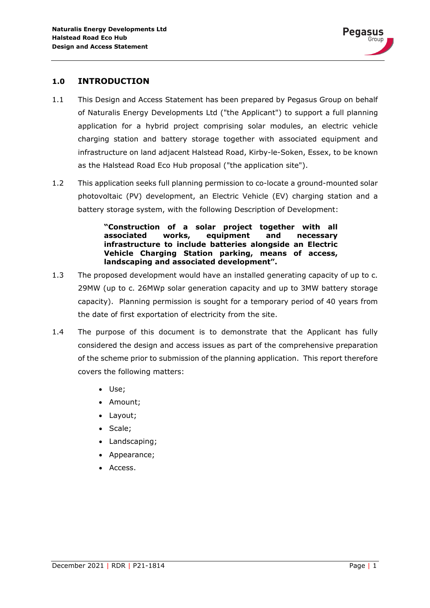

# <span id="page-2-0"></span>**1.0 INTRODUCTION**

- 1.1 This Design and Access Statement has been prepared by Pegasus Group on behalf of Naturalis Energy Developments Ltd ("the Applicant") to support a full planning application for a hybrid project comprising solar modules, an electric vehicle charging station and battery storage together with associated equipment and infrastructure on land adjacent Halstead Road, Kirby-le-Soken, Essex, to be known as the Halstead Road Eco Hub proposal ("the application site").
- 1.2 This application seeks full planning permission to co-locate a ground-mounted solar photovoltaic (PV) development, an Electric Vehicle (EV) charging station and a battery storage system, with the following Description of Development:

**"Construction of a solar project together with all associated works, equipment and necessary infrastructure to include batteries alongside an Electric Vehicle Charging Station parking, means of access, landscaping and associated development".**

- 1.3 The proposed development would have an installed generating capacity of up to c. 29MW (up to c. 26MWp solar generation capacity and up to 3MW battery storage capacity). Planning permission is sought for a temporary period of 40 years from the date of first exportation of electricity from the site.
- 1.4 The purpose of this document is to demonstrate that the Applicant has fully considered the design and access issues as part of the comprehensive preparation of the scheme prior to submission of the planning application. This report therefore covers the following matters:
	- Use;
	- Amount;
	- Layout;
	- Scale;
	- Landscaping;
	- Appearance;
	- Access.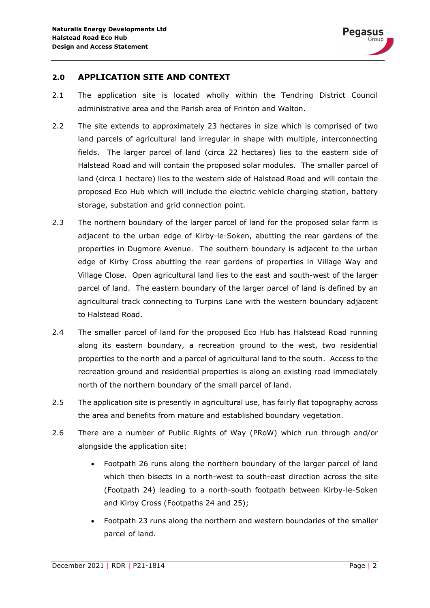

# <span id="page-3-0"></span>**2.0 APPLICATION SITE AND CONTEXT**

- 2.1 The application site is located wholly within the Tendring District Council administrative area and the Parish area of Frinton and Walton.
- 2.2 The site extends to approximately 23 hectares in size which is comprised of two land parcels of agricultural land irregular in shape with multiple, interconnecting fields. The larger parcel of land (circa 22 hectares) lies to the eastern side of Halstead Road and will contain the proposed solar modules. The smaller parcel of land (circa 1 hectare) lies to the western side of Halstead Road and will contain the proposed Eco Hub which will include the electric vehicle charging station, battery storage, substation and grid connection point.
- 2.3 The northern boundary of the larger parcel of land for the proposed solar farm is adjacent to the urban edge of Kirby-le-Soken, abutting the rear gardens of the properties in Dugmore Avenue. The southern boundary is adjacent to the urban edge of Kirby Cross abutting the rear gardens of properties in Village Way and Village Close. Open agricultural land lies to the east and south-west of the larger parcel of land. The eastern boundary of the larger parcel of land is defined by an agricultural track connecting to Turpins Lane with the western boundary adjacent to Halstead Road.
- 2.4 The smaller parcel of land for the proposed Eco Hub has Halstead Road running along its eastern boundary, a recreation ground to the west, two residential properties to the north and a parcel of agricultural land to the south. Access to the recreation ground and residential properties is along an existing road immediately north of the northern boundary of the small parcel of land.
- 2.5 The application site is presently in agricultural use, has fairly flat topography across the area and benefits from mature and established boundary vegetation.
- 2.6 There are a number of Public Rights of Way (PRoW) which run through and/or alongside the application site:
	- Footpath 26 runs along the northern boundary of the larger parcel of land which then bisects in a north-west to south-east direction across the site (Footpath 24) leading to a north-south footpath between Kirby-le-Soken and Kirby Cross (Footpaths 24 and 25);
	- Footpath 23 runs along the northern and western boundaries of the smaller parcel of land.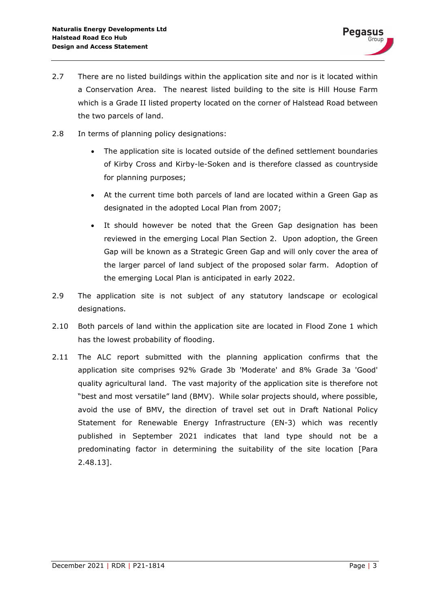- 2.7 There are no listed buildings within the application site and nor is it located within a Conservation Area. The nearest listed building to the site is Hill House Farm which is a Grade II listed property located on the corner of Halstead Road between the two parcels of land.
- 2.8 In terms of planning policy designations:
	- The application site is located outside of the defined settlement boundaries of Kirby Cross and Kirby-le-Soken and is therefore classed as countryside for planning purposes;
	- At the current time both parcels of land are located within a Green Gap as designated in the adopted Local Plan from 2007;
	- It should however be noted that the Green Gap designation has been reviewed in the emerging Local Plan Section 2. Upon adoption, the Green Gap will be known as a Strategic Green Gap and will only cover the area of the larger parcel of land subject of the proposed solar farm. Adoption of the emerging Local Plan is anticipated in early 2022.
- 2.9 The application site is not subject of any statutory landscape or ecological designations.
- 2.10 Both parcels of land within the application site are located in Flood Zone 1 which has the lowest probability of flooding.
- 2.11 The ALC report submitted with the planning application confirms that the application site comprises 92% Grade 3b 'Moderate' and 8% Grade 3a 'Good' quality agricultural land. The vast majority of the application site is therefore not "best and most versatile" land (BMV). While solar projects should, where possible, avoid the use of BMV, the direction of travel set out in Draft National Policy Statement for Renewable Energy Infrastructure (EN-3) which was recently published in September 2021 indicates that land type should not be a predominating factor in determining the suitability of the site location [Para 2.48.13].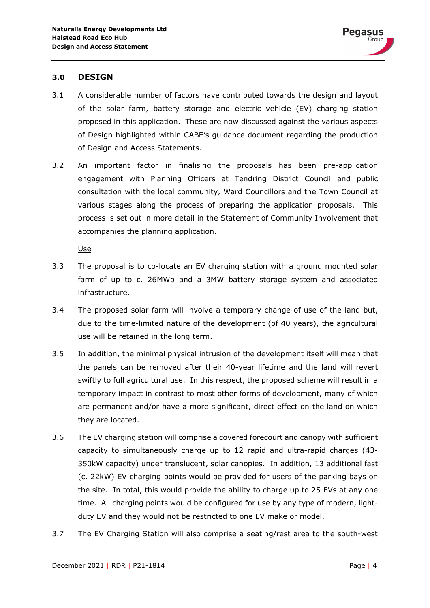

### <span id="page-5-0"></span>**3.0 DESIGN**

- 3.1 A considerable number of factors have contributed towards the design and layout of the solar farm, battery storage and electric vehicle (EV) charging station proposed in this application. These are now discussed against the various aspects of Design highlighted within CABE's guidance document regarding the production of Design and Access Statements.
- 3.2 An important factor in finalising the proposals has been pre-application engagement with Planning Officers at Tendring District Council and public consultation with the local community, Ward Councillors and the Town Council at various stages along the process of preparing the application proposals. This process is set out in more detail in the Statement of Community Involvement that accompanies the planning application.

Use

- 3.3 The proposal is to co-locate an EV charging station with a ground mounted solar farm of up to c. 26MWp and a 3MW battery storage system and associated infrastructure.
- 3.4 The proposed solar farm will involve a temporary change of use of the land but, due to the time-limited nature of the development (of 40 years), the agricultural use will be retained in the long term.
- 3.5 In addition, the minimal physical intrusion of the development itself will mean that the panels can be removed after their 40-year lifetime and the land will revert swiftly to full agricultural use. In this respect, the proposed scheme will result in a temporary impact in contrast to most other forms of development, many of which are permanent and/or have a more significant, direct effect on the land on which they are located.
- 3.6 The EV charging station will comprise a covered forecourt and canopy with sufficient capacity to simultaneously charge up to 12 rapid and ultra-rapid charges (43- 350kW capacity) under translucent, solar canopies. In addition, 13 additional fast (c. 22kW) EV charging points would be provided for users of the parking bays on the site. In total, this would provide the ability to charge up to 25 EVs at any one time. All charging points would be configured for use by any type of modern, lightduty EV and they would not be restricted to one EV make or model.
- 3.7 The EV Charging Station will also comprise a seating/rest area to the south-west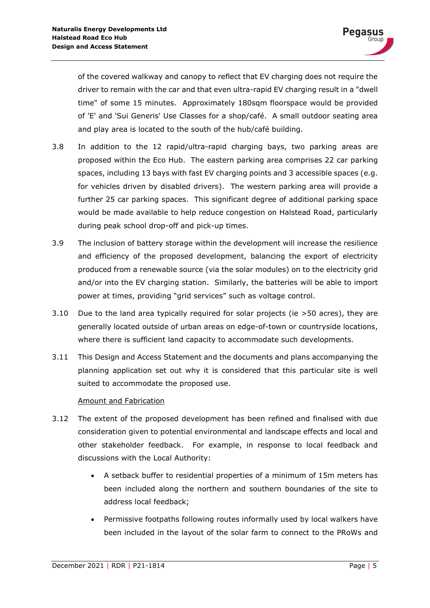of the covered walkway and canopy to reflect that EV charging does not require the driver to remain with the car and that even ultra-rapid EV charging result in a "dwell time" of some 15 minutes. Approximately 180sqm floorspace would be provided of 'E' and 'Sui Generis' Use Classes for a shop/café. A small outdoor seating area and play area is located to the south of the hub/café building.

- 3.8 In addition to the 12 rapid/ultra-rapid charging bays, two parking areas are proposed within the Eco Hub. The eastern parking area comprises 22 car parking spaces, including 13 bays with fast EV charging points and 3 accessible spaces (e.g. for vehicles driven by disabled drivers). The western parking area will provide a further 25 car parking spaces. This significant degree of additional parking space would be made available to help reduce congestion on Halstead Road, particularly during peak school drop-off and pick-up times.
- 3.9 The inclusion of battery storage within the development will increase the resilience and efficiency of the proposed development, balancing the export of electricity produced from a renewable source (via the solar modules) on to the electricity grid and/or into the EV charging station. Similarly, the batteries will be able to import power at times, providing "grid services" such as voltage control.
- 3.10 Due to the land area typically required for solar projects (ie >50 acres), they are generally located outside of urban areas on edge-of-town or countryside locations, where there is sufficient land capacity to accommodate such developments.
- 3.11 This Design and Access Statement and the documents and plans accompanying the planning application set out why it is considered that this particular site is well suited to accommodate the proposed use.

# Amount and Fabrication

- 3.12 The extent of the proposed development has been refined and finalised with due consideration given to potential environmental and landscape effects and local and other stakeholder feedback. For example, in response to local feedback and discussions with the Local Authority:
	- A setback buffer to residential properties of a minimum of 15m meters has been included along the northern and southern boundaries of the site to address local feedback;
	- Permissive footpaths following routes informally used by local walkers have been included in the layout of the solar farm to connect to the PRoWs and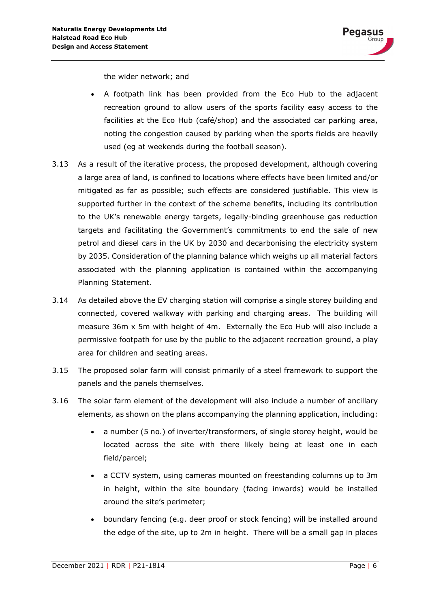the wider network; and

- A footpath link has been provided from the Eco Hub to the adjacent recreation ground to allow users of the sports facility easy access to the facilities at the Eco Hub (café/shop) and the associated car parking area, noting the congestion caused by parking when the sports fields are heavily used (eg at weekends during the football season).
- 3.13 As a result of the iterative process, the proposed development, although covering a large area of land, is confined to locations where effects have been limited and/or mitigated as far as possible; such effects are considered justifiable. This view is supported further in the context of the scheme benefits, including its contribution to the UK's renewable energy targets, legally-binding greenhouse gas reduction targets and facilitating the Government's commitments to end the sale of new petrol and diesel cars in the UK by 2030 and decarbonising the electricity system by 2035. Consideration of the planning balance which weighs up all material factors associated with the planning application is contained within the accompanying Planning Statement.
- 3.14 As detailed above the EV charging station will comprise a single storey building and connected, covered walkway with parking and charging areas. The building will measure 36m x 5m with height of 4m. Externally the Eco Hub will also include a permissive footpath for use by the public to the adjacent recreation ground, a play area for children and seating areas.
- 3.15 The proposed solar farm will consist primarily of a steel framework to support the panels and the panels themselves.
- 3.16 The solar farm element of the development will also include a number of ancillary elements, as shown on the plans accompanying the planning application, including:
	- a number (5 no.) of inverter/transformers, of single storey height, would be located across the site with there likely being at least one in each field/parcel;
	- a CCTV system, using cameras mounted on freestanding columns up to 3m in height, within the site boundary (facing inwards) would be installed around the site's perimeter;
	- boundary fencing (e.g. deer proof or stock fencing) will be installed around the edge of the site, up to 2m in height. There will be a small gap in places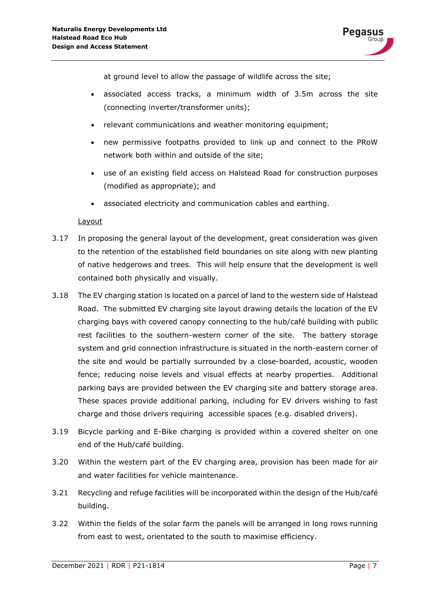at ground level to allow the passage of wildlife across the site;

- associated access tracks, a minimum width of 3.5m across the site (connecting inverter/transformer units);
- relevant communications and weather monitoring equipment;
- new permissive footpaths provided to link up and connect to the PRoW network both within and outside of the site;
- use of an existing field access on Halstead Road for construction purposes (modified as appropriate); and
- associated electricity and communication cables and earthing.

# **Layout**

- 3.17 In proposing the general layout of the development, great consideration was given to the retention of the established field boundaries on site along with new planting of native hedgerows and trees. This will help ensure that the development is well contained both physically and visually.
- 3.18 The EV charging station is located on a parcel of land to the western side of Halstead Road. The submitted EV charging site layout drawing details the location of the EV charging bays with covered canopy connecting to the hub/café building with public rest facilities to the southern-western corner of the site. The battery storage system and grid connection infrastructure is situated in the north-eastern corner of the site and would be partially surrounded by a close-boarded, acoustic, wooden fence; reducing noise levels and visual effects at nearby properties. Additional parking bays are provided between the EV charging site and battery storage area. These spaces provide additional parking, including for EV drivers wishing to fast charge and those drivers requiring accessible spaces (e.g. disabled drivers).
- 3.19 Bicycle parking and E-Bike charging is provided within a covered shelter on one end of the Hub/café building.
- 3.20 Within the western part of the EV charging area, provision has been made for air and water facilities for vehicle maintenance.
- 3.21 Recycling and refuge facilities will be incorporated within the design of the Hub/café building.
- 3.22 Within the fields of the solar farm the panels will be arranged in long rows running from east to west, orientated to the south to maximise efficiency.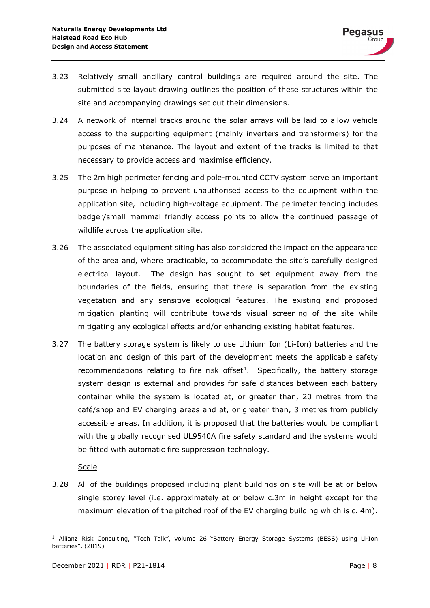- 3.23 Relatively small ancillary control buildings are required around the site. The submitted site layout drawing outlines the position of these structures within the site and accompanying drawings set out their dimensions.
- 3.24 A network of internal tracks around the solar arrays will be laid to allow vehicle access to the supporting equipment (mainly inverters and transformers) for the purposes of maintenance. The layout and extent of the tracks is limited to that necessary to provide access and maximise efficiency.
- 3.25 The 2m high perimeter fencing and pole-mounted CCTV system serve an important purpose in helping to prevent unauthorised access to the equipment within the application site, including high-voltage equipment. The perimeter fencing includes badger/small mammal friendly access points to allow the continued passage of wildlife across the application site.
- 3.26 The associated equipment siting has also considered the impact on the appearance of the area and, where practicable, to accommodate the site's carefully designed electrical layout. The design has sought to set equipment away from the boundaries of the fields, ensuring that there is separation from the existing vegetation and any sensitive ecological features. The existing and proposed mitigation planting will contribute towards visual screening of the site while mitigating any ecological effects and/or enhancing existing habitat features.
- 3.27 The battery storage system is likely to use Lithium Ion (Li-Ion) batteries and the location and design of this part of the development meets the applicable safety recommendations relating to fire risk offset<sup>1</sup>. Specifically, the battery storage system design is external and provides for safe distances between each battery container while the system is located at, or greater than, 20 metres from the café/shop and EV charging areas and at, or greater than, 3 metres from publicly accessible areas. In addition, it is proposed that the batteries would be compliant with the globally recognised UL9540A fire safety standard and the systems would be fitted with automatic fire suppression technology.

**Scale** 

3.28 All of the buildings proposed including plant buildings on site will be at or below single storey level (i.e. approximately at or below c.3m in height except for the maximum elevation of the pitched roof of the EV charging building which is c. 4m).

<span id="page-9-0"></span> $<sup>1</sup>$  Allianz Risk Consulting, "Tech Talk", volume 26 "Battery Energy Storage Systems (BESS) using Li-Ion</sup> batteries", (2019)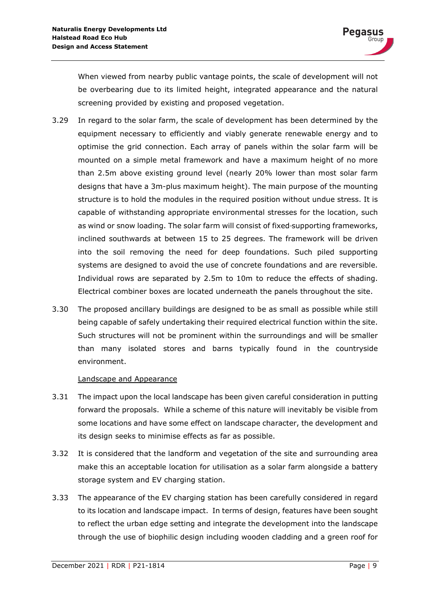When viewed from nearby public vantage points, the scale of development will not be overbearing due to its limited height, integrated appearance and the natural screening provided by existing and proposed vegetation.

- 3.29 In regard to the solar farm, the scale of development has been determined by the equipment necessary to efficiently and viably generate renewable energy and to optimise the grid connection. Each array of panels within the solar farm will be mounted on a simple metal framework and have a maximum height of no more than 2.5m above existing ground level (nearly 20% lower than most solar farm designs that have a 3m-plus maximum height). The main purpose of the mounting structure is to hold the modules in the required position without undue stress. It is capable of withstanding appropriate environmental stresses for the location, such as wind or snow loading. The solar farm will consist of fixed supporting frameworks, inclined southwards at between 15 to 25 degrees. The framework will be driven into the soil removing the need for deep foundations. Such piled supporting systems are designed to avoid the use of concrete foundations and are reversible. Individual rows are separated by 2.5m to 10m to reduce the effects of shading. Electrical combiner boxes are located underneath the panels throughout the site.
- 3.30 The proposed ancillary buildings are designed to be as small as possible while still being capable of safely undertaking their required electrical function within the site. Such structures will not be prominent within the surroundings and will be smaller than many isolated stores and barns typically found in the countryside environment.

# Landscape and Appearance

- 3.31 The impact upon the local landscape has been given careful consideration in putting forward the proposals. While a scheme of this nature will inevitably be visible from some locations and have some effect on landscape character, the development and its design seeks to minimise effects as far as possible.
- 3.32 It is considered that the landform and vegetation of the site and surrounding area make this an acceptable location for utilisation as a solar farm alongside a battery storage system and EV charging station.
- 3.33 The appearance of the EV charging station has been carefully considered in regard to its location and landscape impact. In terms of design, features have been sought to reflect the urban edge setting and integrate the development into the landscape through the use of biophilic design including wooden cladding and a green roof for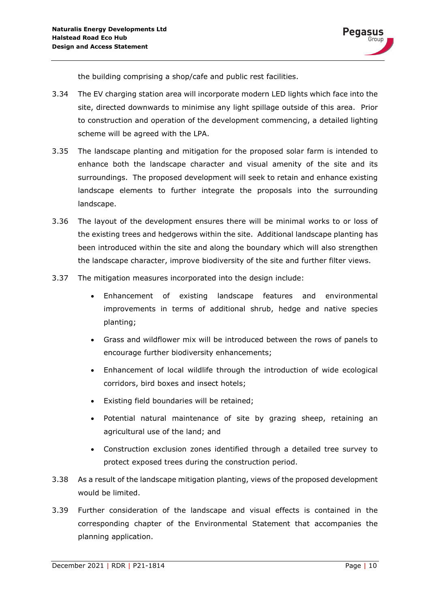

the building comprising a shop/cafe and public rest facilities.

- 3.34 The EV charging station area will incorporate modern LED lights which face into the site, directed downwards to minimise any light spillage outside of this area. Prior to construction and operation of the development commencing, a detailed lighting scheme will be agreed with the LPA.
- 3.35 The landscape planting and mitigation for the proposed solar farm is intended to enhance both the landscape character and visual amenity of the site and its surroundings. The proposed development will seek to retain and enhance existing landscape elements to further integrate the proposals into the surrounding landscape.
- 3.36 The layout of the development ensures there will be minimal works to or loss of the existing trees and hedgerows within the site. Additional landscape planting has been introduced within the site and along the boundary which will also strengthen the landscape character, improve biodiversity of the site and further filter views.
- 3.37 The mitigation measures incorporated into the design include:
	- Enhancement of existing landscape features and environmental improvements in terms of additional shrub, hedge and native species planting;
	- Grass and wildflower mix will be introduced between the rows of panels to encourage further biodiversity enhancements;
	- Enhancement of local wildlife through the introduction of wide ecological corridors, bird boxes and insect hotels;
	- Existing field boundaries will be retained;
	- Potential natural maintenance of site by grazing sheep, retaining an agricultural use of the land; and
	- Construction exclusion zones identified through a detailed tree survey to protect exposed trees during the construction period.
- 3.38 As a result of the landscape mitigation planting, views of the proposed development would be limited.
- 3.39 Further consideration of the landscape and visual effects is contained in the corresponding chapter of the Environmental Statement that accompanies the planning application.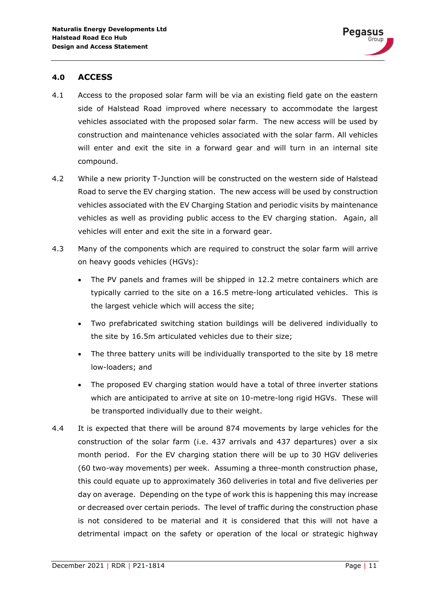# <span id="page-12-0"></span>**4.0 ACCESS**

- 4.1 Access to the proposed solar farm will be via an existing field gate on the eastern side of Halstead Road improved where necessary to accommodate the largest vehicles associated with the proposed solar farm. The new access will be used by construction and maintenance vehicles associated with the solar farm. All vehicles will enter and exit the site in a forward gear and will turn in an internal site compound.
- 4.2 While a new priority T-Junction will be constructed on the western side of Halstead Road to serve the EV charging station. The new access will be used by construction vehicles associated with the EV Charging Station and periodic visits by maintenance vehicles as well as providing public access to the EV charging station. Again, all vehicles will enter and exit the site in a forward gear.
- 4.3 Many of the components which are required to construct the solar farm will arrive on heavy goods vehicles (HGVs):
	- The PV panels and frames will be shipped in 12.2 metre containers which are typically carried to the site on a 16.5 metre-long articulated vehicles. This is the largest vehicle which will access the site;
	- Two prefabricated switching station buildings will be delivered individually to the site by 16.5m articulated vehicles due to their size;
	- The three battery units will be individually transported to the site by 18 metre low-loaders; and
	- The proposed EV charging station would have a total of three inverter stations which are anticipated to arrive at site on 10-metre-long rigid HGVs. These will be transported individually due to their weight.
- 4.4 It is expected that there will be around 874 movements by large vehicles for the construction of the solar farm (i.e. 437 arrivals and 437 departures) over a six month period. For the EV charging station there will be up to 30 HGV deliveries (60 two-way movements) per week. Assuming a three-month construction phase, this could equate up to approximately 360 deliveries in total and five deliveries per day on average. Depending on the type of work this is happening this may increase or decreased over certain periods. The level of traffic during the construction phase is not considered to be material and it is considered that this will not have a detrimental impact on the safety or operation of the local or strategic highway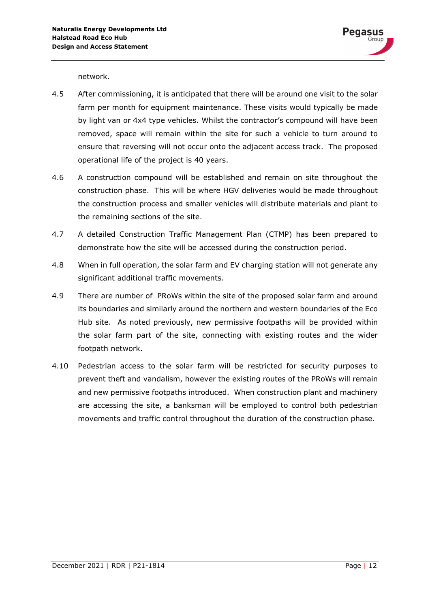network.

- 4.5 After commissioning, it is anticipated that there will be around one visit to the solar farm per month for equipment maintenance. These visits would typically be made by light van or 4x4 type vehicles. Whilst the contractor's compound will have been removed, space will remain within the site for such a vehicle to turn around to ensure that reversing will not occur onto the adjacent access track. The proposed operational life of the project is 40 years.
- 4.6 A construction compound will be established and remain on site throughout the construction phase. This will be where HGV deliveries would be made throughout the construction process and smaller vehicles will distribute materials and plant to the remaining sections of the site.
- 4.7 A detailed Construction Traffic Management Plan (CTMP) has been prepared to demonstrate how the site will be accessed during the construction period.
- 4.8 When in full operation, the solar farm and EV charging station will not generate any significant additional traffic movements.
- 4.9 There are number of PRoWs within the site of the proposed solar farm and around its boundaries and similarly around the northern and western boundaries of the Eco Hub site. As noted previously, new permissive footpaths will be provided within the solar farm part of the site, connecting with existing routes and the wider footpath network.
- 4.10 Pedestrian access to the solar farm will be restricted for security purposes to prevent theft and vandalism, however the existing routes of the PRoWs will remain and new permissive footpaths introduced. When construction plant and machinery are accessing the site, a banksman will be employed to control both pedestrian movements and traffic control throughout the duration of the construction phase.